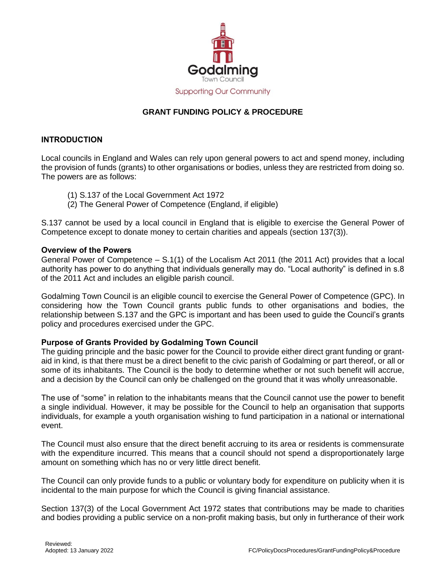

# **GRANT FUNDING POLICY & PROCEDURE**

## **INTRODUCTION**

Local councils in England and Wales can rely upon general powers to act and spend money, including the provision of funds (grants) to other organisations or bodies, unless they are restricted from doing so. The powers are as follows:

- (1) S.137 of the Local Government Act 1972
- (2) The General Power of Competence (England, if eligible)

S.137 cannot be used by a local council in England that is eligible to exercise the General Power of Competence except to donate money to certain charities and appeals (section 137(3)).

#### **Overview of the Powers**

General Power of Competence – S.1(1) of the Localism Act 2011 (the 2011 Act) provides that a local authority has power to do anything that individuals generally may do. "Local authority" is defined in s.8 of the 2011 Act and includes an eligible parish council.

Godalming Town Council is an eligible council to exercise the General Power of Competence (GPC). In considering how the Town Council grants public funds to other organisations and bodies, the relationship between S.137 and the GPC is important and has been used to guide the Council's grants policy and procedures exercised under the GPC.

## **Purpose of Grants Provided by Godalming Town Council**

The guiding principle and the basic power for the Council to provide either direct grant funding or grantaid in kind, is that there must be a direct benefit to the civic parish of Godalming or part thereof, or all or some of its inhabitants. The Council is the body to determine whether or not such benefit will accrue, and a decision by the Council can only be challenged on the ground that it was wholly unreasonable.

The use of "some" in relation to the inhabitants means that the Council cannot use the power to benefit a single individual. However, it may be possible for the Council to help an organisation that supports individuals, for example a youth organisation wishing to fund participation in a national or international event.

The Council must also ensure that the direct benefit accruing to its area or residents is commensurate with the expenditure incurred. This means that a council should not spend a disproportionately large amount on something which has no or very little direct benefit.

The Council can only provide funds to a public or voluntary body for expenditure on publicity when it is incidental to the main purpose for which the Council is giving financial assistance.

Section 137(3) of the Local Government Act 1972 states that contributions may be made to charities and bodies providing a public service on a non-profit making basis, but only in furtherance of their work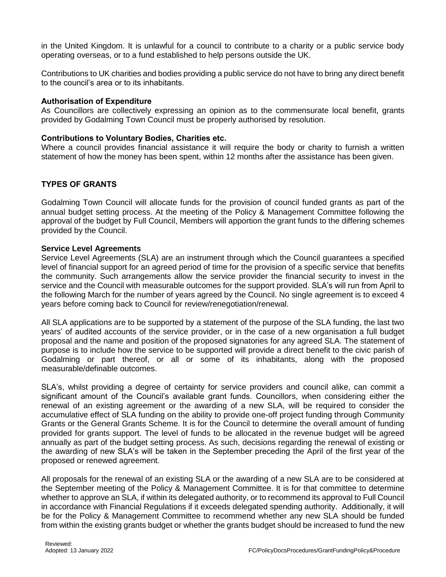in the United Kingdom. It is unlawful for a council to contribute to a charity or a public service body operating overseas, or to a fund established to help persons outside the UK.

Contributions to UK charities and bodies providing a public service do not have to bring any direct benefit to the council's area or to its inhabitants.

### **Authorisation of Expenditure**

As Councillors are collectively expressing an opinion as to the commensurate local benefit, grants provided by Godalming Town Council must be properly authorised by resolution.

## **Contributions to Voluntary Bodies, Charities etc.**

Where a council provides financial assistance it will require the body or charity to furnish a written statement of how the money has been spent, within 12 months after the assistance has been given.

## **TYPES OF GRANTS**

Godalming Town Council will allocate funds for the provision of council funded grants as part of the annual budget setting process. At the meeting of the Policy & Management Committee following the approval of the budget by Full Council, Members will apportion the grant funds to the differing schemes provided by the Council.

### **Service Level Agreements**

Service Level Agreements (SLA) are an instrument through which the Council guarantees a specified level of financial support for an agreed period of time for the provision of a specific service that benefits the community. Such arrangements allow the service provider the financial security to invest in the service and the Council with measurable outcomes for the support provided. SLA's will run from April to the following March for the number of years agreed by the Council. No single agreement is to exceed 4 years before coming back to Council for review/renegotiation/renewal.

All SLA applications are to be supported by a statement of the purpose of the SLA funding, the last two years' of audited accounts of the service provider, or in the case of a new organisation a full budget proposal and the name and position of the proposed signatories for any agreed SLA. The statement of purpose is to include how the service to be supported will provide a direct benefit to the civic parish of Godalming or part thereof, or all or some of its inhabitants, along with the proposed measurable/definable outcomes.

SLA's, whilst providing a degree of certainty for service providers and council alike, can commit a significant amount of the Council's available grant funds. Councillors, when considering either the renewal of an existing agreement or the awarding of a new SLA, will be required to consider the accumulative effect of SLA funding on the ability to provide one-off project funding through Community Grants or the General Grants Scheme. It is for the Council to determine the overall amount of funding provided for grants support. The level of funds to be allocated in the revenue budget will be agreed annually as part of the budget setting process. As such, decisions regarding the renewal of existing or the awarding of new SLA's will be taken in the September preceding the April of the first year of the proposed or renewed agreement.

All proposals for the renewal of an existing SLA or the awarding of a new SLA are to be considered at the September meeting of the Policy & Management Committee. It is for that committee to determine whether to approve an SLA, if within its delegated authority, or to recommend its approval to Full Council in accordance with Financial Regulations if it exceeds delegated spending authority. Additionally, it will be for the Policy & Management Committee to recommend whether any new SLA should be funded from within the existing grants budget or whether the grants budget should be increased to fund the new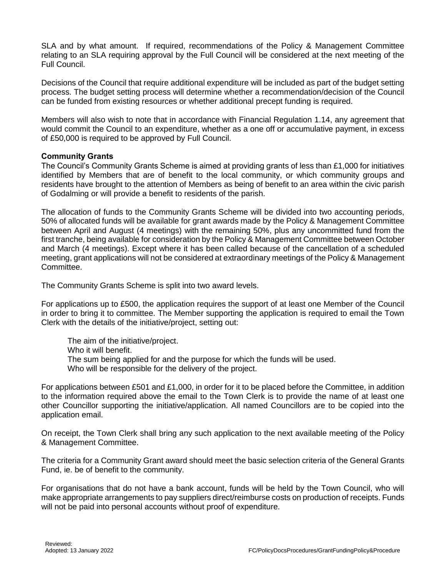SLA and by what amount. If required, recommendations of the Policy & Management Committee relating to an SLA requiring approval by the Full Council will be considered at the next meeting of the Full Council.

Decisions of the Council that require additional expenditure will be included as part of the budget setting process. The budget setting process will determine whether a recommendation/decision of the Council can be funded from existing resources or whether additional precept funding is required.

Members will also wish to note that in accordance with Financial Regulation 1.14, any agreement that would commit the Council to an expenditure, whether as a one off or accumulative payment, in excess of £50,000 is required to be approved by Full Council.

#### **Community Grants**

The Council's Community Grants Scheme is aimed at providing grants of less than £1,000 for initiatives identified by Members that are of benefit to the local community, or which community groups and residents have brought to the attention of Members as being of benefit to an area within the civic parish of Godalming or will provide a benefit to residents of the parish.

The allocation of funds to the Community Grants Scheme will be divided into two accounting periods, 50% of allocated funds will be available for grant awards made by the Policy & Management Committee between April and August (4 meetings) with the remaining 50%, plus any uncommitted fund from the first tranche, being available for consideration by the Policy & Management Committee between October and March (4 meetings). Except where it has been called because of the cancellation of a scheduled meeting, grant applications will not be considered at extraordinary meetings of the Policy & Management Committee.

The Community Grants Scheme is split into two award levels.

For applications up to £500, the application requires the support of at least one Member of the Council in order to bring it to committee. The Member supporting the application is required to email the Town Clerk with the details of the initiative/project, setting out:

The aim of the initiative/project. Who it will benefit. The sum being applied for and the purpose for which the funds will be used. Who will be responsible for the delivery of the project.

For applications between £501 and £1,000, in order for it to be placed before the Committee, in addition to the information required above the email to the Town Clerk is to provide the name of at least one other Councillor supporting the initiative/application. All named Councillors are to be copied into the application email.

On receipt, the Town Clerk shall bring any such application to the next available meeting of the Policy & Management Committee.

The criteria for a Community Grant award should meet the basic selection criteria of the General Grants Fund, ie. be of benefit to the community.

For organisations that do not have a bank account, funds will be held by the Town Council, who will make appropriate arrangements to pay suppliers direct/reimburse costs on production of receipts. Funds will not be paid into personal accounts without proof of expenditure.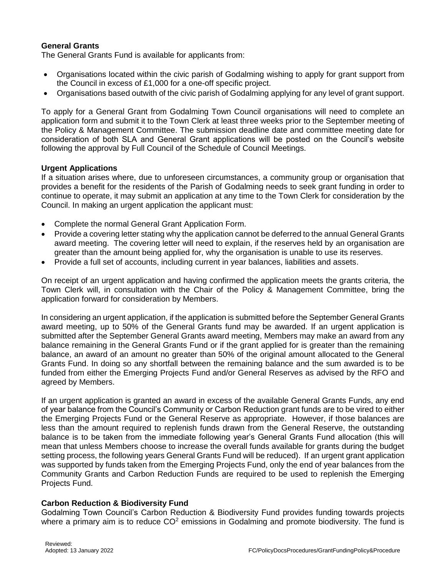## **General Grants**

The General Grants Fund is available for applicants from:

- Organisations located within the civic parish of Godalming wishing to apply for grant support from the Council in excess of £1,000 for a one-off specific project.
- Organisations based outwith of the civic parish of Godalming applying for any level of grant support.

To apply for a General Grant from Godalming Town Council organisations will need to complete an application form and submit it to the Town Clerk at least three weeks prior to the September meeting of the Policy & Management Committee. The submission deadline date and committee meeting date for consideration of both SLA and General Grant applications will be posted on the Council's website following the approval by Full Council of the Schedule of Council Meetings.

#### **Urgent Applications**

If a situation arises where, due to unforeseen circumstances, a community group or organisation that provides a benefit for the residents of the Parish of Godalming needs to seek grant funding in order to continue to operate, it may submit an application at any time to the Town Clerk for consideration by the Council. In making an urgent application the applicant must:

- Complete the normal General Grant Application Form.
- Provide a covering letter stating why the application cannot be deferred to the annual General Grants award meeting. The covering letter will need to explain, if the reserves held by an organisation are greater than the amount being applied for, why the organisation is unable to use its reserves.
- Provide a full set of accounts, including current in year balances, liabilities and assets.

On receipt of an urgent application and having confirmed the application meets the grants criteria, the Town Clerk will, in consultation with the Chair of the Policy & Management Committee, bring the application forward for consideration by Members.

In considering an urgent application, if the application is submitted before the September General Grants award meeting, up to 50% of the General Grants fund may be awarded. If an urgent application is submitted after the September General Grants award meeting, Members may make an award from any balance remaining in the General Grants Fund or if the grant applied for is greater than the remaining balance, an award of an amount no greater than 50% of the original amount allocated to the General Grants Fund. In doing so any shortfall between the remaining balance and the sum awarded is to be funded from either the Emerging Projects Fund and/or General Reserves as advised by the RFO and agreed by Members.

If an urgent application is granted an award in excess of the available General Grants Funds, any end of year balance from the Council's Community or Carbon Reduction grant funds are to be vired to either the Emerging Projects Fund or the General Reserve as appropriate. However, if those balances are less than the amount required to replenish funds drawn from the General Reserve, the outstanding balance is to be taken from the immediate following year's General Grants Fund allocation (this will mean that unless Members choose to increase the overall funds available for grants during the budget setting process, the following years General Grants Fund will be reduced). If an urgent grant application was supported by funds taken from the Emerging Projects Fund, only the end of year balances from the Community Grants and Carbon Reduction Funds are required to be used to replenish the Emerging Projects Fund.

#### **Carbon Reduction & Biodiversity Fund**

Godalming Town Council's Carbon Reduction & Biodiversity Fund provides funding towards projects where a primary aim is to reduce  $CO<sup>2</sup>$  emissions in Godalming and promote biodiversity. The fund is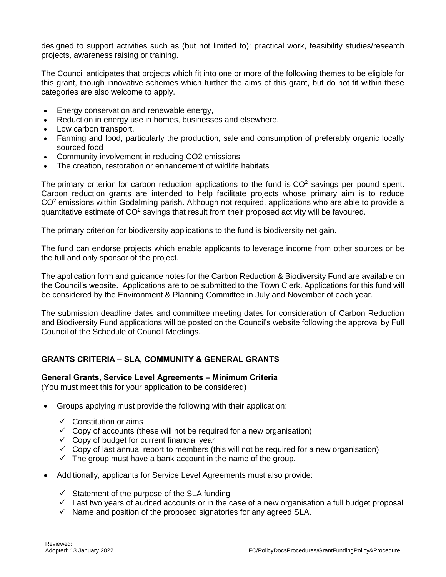designed to support activities such as (but not limited to): practical work, feasibility studies/research projects, awareness raising or training.

The Council anticipates that projects which fit into one or more of the following themes to be eligible for this grant, though innovative schemes which further the aims of this grant, but do not fit within these categories are also welcome to apply.

- Energy conservation and renewable energy,
- Reduction in energy use in homes, businesses and elsewhere,
- Low carbon transport,
- Farming and food, particularly the production, sale and consumption of preferably organic locally sourced food
- Community involvement in reducing CO2 emissions
- The creation, restoration or enhancement of wildlife habitats

The primary criterion for carbon reduction applications to the fund is  $CO<sup>2</sup>$  savings per pound spent. Carbon reduction grants are intended to help facilitate projects whose primary aim is to reduce  $CO<sup>2</sup>$  emissions within Godalming parish. Although not required, applications who are able to provide a quantitative estimate of  $CO<sup>2</sup>$  savings that result from their proposed activity will be favoured.

The primary criterion for biodiversity applications to the fund is biodiversity net gain.

The fund can endorse projects which enable applicants to leverage income from other sources or be the full and only sponsor of the project.

The application form and guidance notes for the Carbon Reduction & Biodiversity Fund are available on the Council's website. Applications are to be submitted to the Town Clerk. Applications for this fund will be considered by the Environment & Planning Committee in July and November of each year.

The submission deadline dates and committee meeting dates for consideration of Carbon Reduction and Biodiversity Fund applications will be posted on the Council's website following the approval by Full Council of the Schedule of Council Meetings.

## **GRANTS CRITERIA – SLA, COMMUNITY & GENERAL GRANTS**

#### **General Grants, Service Level Agreements – Minimum Criteria**

(You must meet this for your application to be considered)

- Groups applying must provide the following with their application:
	- $\checkmark$  Constitution or aims
	- $\checkmark$  Copy of accounts (these will not be required for a new organisation)
	- $\checkmark$  Copy of budget for current financial year
	- $\checkmark$  Copy of last annual report to members (this will not be required for a new organisation)
	- $\checkmark$  The group must have a bank account in the name of the group.
- Additionally, applicants for Service Level Agreements must also provide:
	- $\checkmark$  Statement of the purpose of the SLA funding
	- $\checkmark$  Last two years of audited accounts or in the case of a new organisation a full budget proposal
	- $\checkmark$  Name and position of the proposed signatories for any agreed SLA.